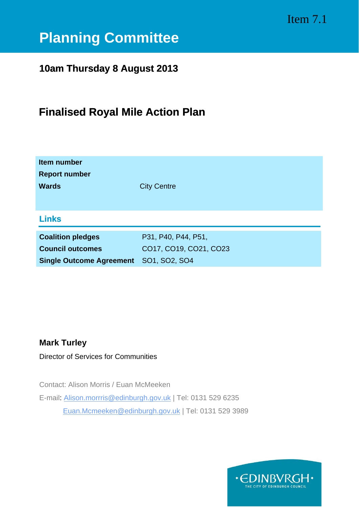# Item 7.1

# **Planning Committee**

# **10am Thursday 8 August 2013**

# **Finalised Royal Mile Action Plan**

| <b>Item number</b><br><b>Report number</b><br><b>Wards</b>                             | <b>City Centre</b>                                             |
|----------------------------------------------------------------------------------------|----------------------------------------------------------------|
| <b>Links</b>                                                                           |                                                                |
| <b>Coalition pledges</b><br><b>Council outcomes</b><br><b>Single Outcome Agreement</b> | P31, P40, P44, P51,<br>CO17, CO19, CO21, CO23<br>SO1, SO2, SO4 |

# **Mark Turley**

Director of Services for Communities

Contact: Alison Morris / Euan McMeeken E-mail: Alison.morrris@edinburgh.gov.uk | Tel: 0131 529 6235 [Euan.Mcmeeken@edinburgh.gov.uk](mailto:Euan.Mcmeeken@edinburgh.gov.uk) | Tel: 0131 529 3989

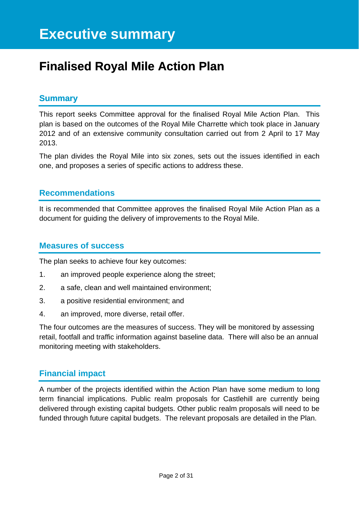# **Finalised Royal Mile Action Plan**

# **Summary**

This report seeks Committee approval for the finalised Royal Mile Action Plan. This plan is based on the outcomes of the Royal Mile Charrette which took place in January 2012 and of an extensive community consultation carried out from 2 April to 17 May 2013.

The plan divides the Royal Mile into six zones, sets out the issues identified in each one, and proposes a series of specific actions to address these.

# **Recommendations**

It is recommended that Committee approves the finalised Royal Mile Action Plan as a document for guiding the delivery of improvements to the Royal Mile.

# **Measures of success**

The plan seeks to achieve four key outcomes:

- 1. an improved people experience along the street;
- 2. a safe, clean and well maintained environment;
- 3. a positive residential environment; and
- 4. an improved, more diverse, retail offer.

The four outcomes are the measures of success. They will be monitored by assessing retail, footfall and traffic information against baseline data. There will also be an annual monitoring meeting with stakeholders.

# **Financial impact**

A number of the projects identified within the Action Plan have some medium to long term financial implications. Public realm proposals for Castlehill are currently being delivered through existing capital budgets. Other public realm proposals will need to be funded through future capital budgets. The relevant proposals are detailed in the Plan.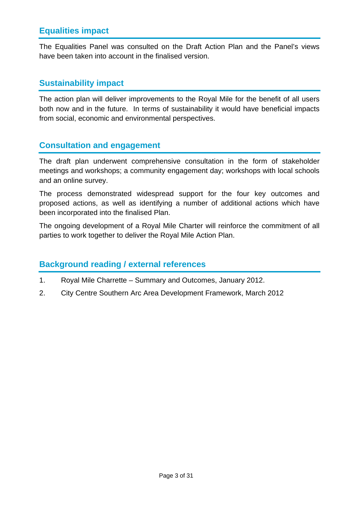# **Equalities impact**

The Equalities Panel was consulted on the Draft Action Plan and the Panel's views have been taken into account in the finalised version.

# **Sustainability impact**

The action plan will deliver improvements to the Royal Mile for the benefit of all users both now and in the future. In terms of sustainability it would have beneficial impacts from social, economic and environmental perspectives.

# **Consultation and engagement**

The draft plan underwent comprehensive consultation in the form of stakeholder meetings and workshops; a community engagement day; workshops with local schools and an online survey.

The process demonstrated widespread support for the four key outcomes and proposed actions, as well as identifying a number of additional actions which have been incorporated into the finalised Plan.

The ongoing development of a Royal Mile Charter will reinforce the commitment of all parties to work together to deliver the Royal Mile Action Plan.

# **Background reading / external references**

- 1. Royal Mile Charrette Summary and Outcomes, January 2012.
- 2. City Centre Southern Arc Area Development Framework, March 2012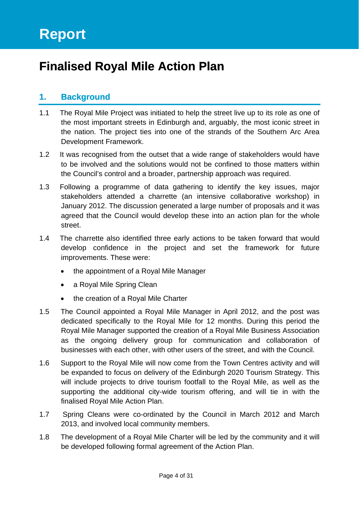# **Finalised Royal Mile Action Plan**

# **1. Background**

- 1.1 The Royal Mile Project was initiated to help the street live up to its role as one of the most important streets in Edinburgh and, arguably, the most iconic street in the nation. The project ties into one of the strands of the Southern Arc Area Development Framework.
- 1.2 It was recognised from the outset that a wide range of stakeholders would have to be involved and the solutions would not be confined to those matters within the Council's control and a broader, partnership approach was required.
- 1.3 Following a programme of data gathering to identify the key issues, major stakeholders attended a charrette (an intensive collaborative workshop) in January 2012. The discussion generated a large number of proposals and it was agreed that the Council would develop these into an action plan for the whole street.
- 1.4 The charrette also identified three early actions to be taken forward that would develop confidence in the project and set the framework for future improvements. These were:
	- the appointment of a Royal Mile Manager
	- a Royal Mile Spring Clean
	- the creation of a Royal Mile Charter
- 1.5 The Council appointed a Royal Mile Manager in April 2012, and the post was dedicated specifically to the Royal Mile for 12 months. During this period the Royal Mile Manager supported the creation of a Royal Mile Business Association as the ongoing delivery group for communication and collaboration of businesses with each other, with other users of the street, and with the Council.
- 1.6 Support to the Royal Mile will now come from the Town Centres activity and will be expanded to focus on delivery of the Edinburgh 2020 Tourism Strategy. This will include projects to drive tourism footfall to the Royal Mile, as well as the supporting the additional city-wide tourism offering, and will tie in with the finalised Royal Mile Action Plan.
- 1.7 Spring Cleans were co-ordinated by the Council in March 2012 and March 2013, and involved local community members.
- 1.8 The development of a Royal Mile Charter will be led by the community and it will be developed following formal agreement of the Action Plan.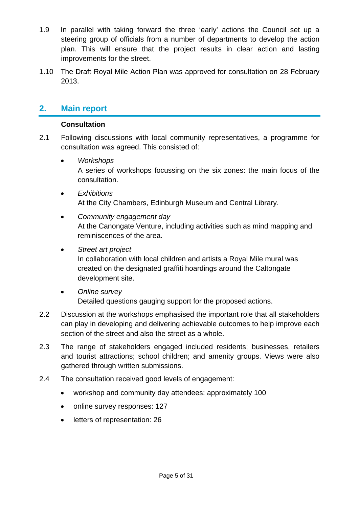- 1.9 In parallel with taking forward the three 'early' actions the Council set up a steering group of officials from a number of departments to develop the action plan. This will ensure that the project results in clear action and lasting improvements for the street.
- 1.10 The Draft Royal Mile Action Plan was approved for consultation on 28 February 2013.

# **2. Main report**

# **Consultation**

- 2.1 Following discussions with local community representatives, a programme for consultation was agreed. This consisted of:
	- *Workshops*  A series of workshops focussing on the six zones: the main focus of the consultation.
	- *Exhibitions*  At the City Chambers, Edinburgh Museum and Central Library.
	- *Community engagement day*  At the Canongate Venture, including activities such as mind mapping and reminiscences of the area.
	- *Street art project*

In collaboration with local children and artists a Royal Mile mural was created on the designated graffiti hoardings around the Caltongate development site.

- *Online survey*  Detailed questions gauging support for the proposed actions.
- 2.2 Discussion at the workshops emphasised the important role that all stakeholders can play in developing and delivering achievable outcomes to help improve each section of the street and also the street as a whole.
- 2.3 The range of stakeholders engaged included residents; businesses, retailers and tourist attractions; school children; and amenity groups. Views were also gathered through written submissions.
- 2.4 The consultation received good levels of engagement:
	- workshop and community day attendees: approximately 100
	- online survey responses: 127
	- letters of representation: 26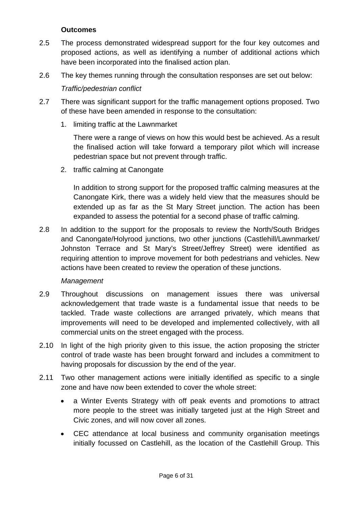# **Outcomes**

- 2.5 The process demonstrated widespread support for the four key outcomes and proposed actions, as well as identifying a number of additional actions which have been incorporated into the finalised action plan.
- 2.6 The key themes running through the consultation responses are set out below:

# *Traffic/pedestrian conflict*

- 2.7 There was significant support for the traffic management options proposed. Two of these have been amended in response to the consultation:
	- 1. limiting traffic at the Lawnmarket

There were a range of views on how this would best be achieved. As a result the finalised action will take forward a temporary pilot which will increase pedestrian space but not prevent through traffic.

2. traffic calming at Canongate

In addition to strong support for the proposed traffic calming measures at the Canongate Kirk, there was a widely held view that the measures should be extended up as far as the St Mary Street junction. The action has been expanded to assess the potential for a second phase of traffic calming.

2.8 In addition to the support for the proposals to review the North/South Bridges and Canongate/Holyrood junctions, two other junctions (Castlehill/Lawnmarket/ Johnston Terrace and St Mary's Street/Jeffrey Street) were identified as requiring attention to improve movement for both pedestrians and vehicles. New actions have been created to review the operation of these junctions.

# *Management*

- 2.9 Throughout discussions on management issues there was universal acknowledgement that trade waste is a fundamental issue that needs to be tackled. Trade waste collections are arranged privately, which means that improvements will need to be developed and implemented collectively, with all commercial units on the street engaged with the process.
- 2.10 In light of the high priority given to this issue, the action proposing the stricter control of trade waste has been brought forward and includes a commitment to having proposals for discussion by the end of the year.
- 2.11 Two other management actions were initially identified as specific to a single zone and have now been extended to cover the whole street:
	- a Winter Events Strategy with off peak events and promotions to attract more people to the street was initially targeted just at the High Street and Civic zones, and will now cover all zones.
	- CEC attendance at local business and community organisation meetings initially focussed on Castlehill, as the location of the Castlehill Group. This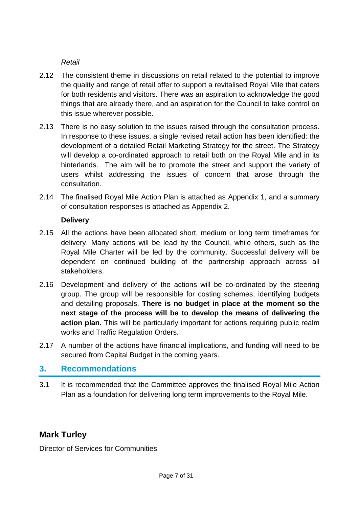*Retail* 

- 2.12 The consistent theme in discussions on retail related to the potential to improve the quality and range of retail offer to support a revitalised Royal Mile that caters for both residents and visitors. There was an aspiration to acknowledge the good things that are already there, and an aspiration for the Council to take control on this issue wherever possible.
- 2.13 There is no easy solution to the issues raised through the consultation process. In response to these issues, a single revised retail action has been identified: the development of a detailed Retail Marketing Strategy for the street. The Strategy will develop a co-ordinated approach to retail both on the Royal Mile and in its hinterlands. The aim will be to promote the street and support the variety of users whilst addressing the issues of concern that arose through the consultation.
- 2.14 The finalised Royal Mile Action Plan is attached as Appendix 1, and a summary of consultation responses is attached as Appendix 2.

# **Delivery**

- 2.15 All the actions have been allocated short, medium or long term timeframes for delivery. Many actions will be lead by the Council, while others, such as the Royal Mile Charter will be led by the community. Successful delivery will be dependent on continued building of the partnership approach across all stakeholders.
- 2.16 Development and delivery of the actions will be co-ordinated by the steering group. The group will be responsible for costing schemes, identifying budgets and detailing proposals. **There is no budget in place at the moment so the next stage of the process will be to develop the means of delivering the action plan.** This will be particularly important for actions requiring public realm works and Traffic Regulation Orders.
- 2.17 A number of the actions have financial implications, and funding will need to be secured from Capital Budget in the coming years.

# **3. Recommendations**

3.1 It is recommended that the Committee approves the finalised Royal Mile Action Plan as a foundation for delivering long term improvements to the Royal Mile.

# **Mark Turley**

Director of Services for Communities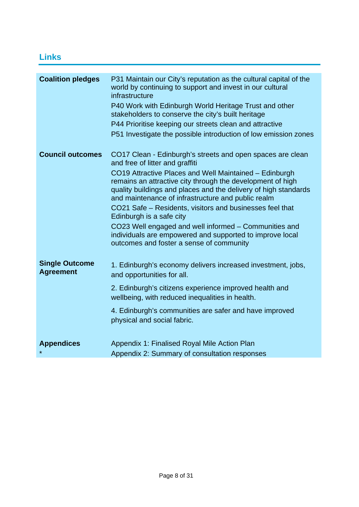# **Links**

| <b>Coalition pledges</b>                  | P31 Maintain our City's reputation as the cultural capital of the<br>world by continuing to support and invest in our cultural<br>infrastructure                                                                                              |
|-------------------------------------------|-----------------------------------------------------------------------------------------------------------------------------------------------------------------------------------------------------------------------------------------------|
|                                           | P40 Work with Edinburgh World Heritage Trust and other<br>stakeholders to conserve the city's built heritage                                                                                                                                  |
|                                           | P44 Prioritise keeping our streets clean and attractive                                                                                                                                                                                       |
|                                           | P51 Investigate the possible introduction of low emission zones                                                                                                                                                                               |
| <b>Council outcomes</b>                   | CO17 Clean - Edinburgh's streets and open spaces are clean<br>and free of litter and graffiti                                                                                                                                                 |
|                                           | CO19 Attractive Places and Well Maintained – Edinburgh<br>remains an attractive city through the development of high<br>quality buildings and places and the delivery of high standards<br>and maintenance of infrastructure and public realm |
|                                           | CO21 Safe – Residents, visitors and businesses feel that<br>Edinburgh is a safe city                                                                                                                                                          |
|                                           | CO23 Well engaged and well informed – Communities and<br>individuals are empowered and supported to improve local<br>outcomes and foster a sense of community                                                                                 |
| <b>Single Outcome</b><br><b>Agreement</b> | 1. Edinburgh's economy delivers increased investment, jobs,<br>and opportunities for all.                                                                                                                                                     |
|                                           | 2. Edinburgh's citizens experience improved health and<br>wellbeing, with reduced inequalities in health.                                                                                                                                     |
|                                           | 4. Edinburgh's communities are safer and have improved<br>physical and social fabric.                                                                                                                                                         |
| <b>Appendices</b>                         | Appendix 1: Finalised Royal Mile Action Plan                                                                                                                                                                                                  |
|                                           | Appendix 2: Summary of consultation responses                                                                                                                                                                                                 |
|                                           |                                                                                                                                                                                                                                               |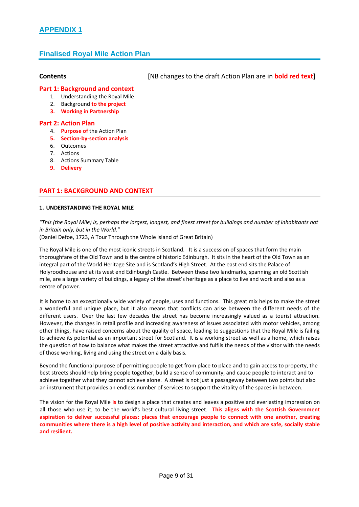# **APPENDIX 1**

# **Finalised Royal Mile Action Plan**

#### **Contents**  [NB changes to the draft Action Plan are in **bold red text**]

#### **Part 1: Background and context**

- 1. Understanding the Royal Mile
- 2. Background **to the project**
- **3. Working in Partnership**

#### **Part 2: Action Plan**

- 4. **Purpose of** the Action Plan
- **5. Section‐by‐section analysis**
- 6. Outcomes
- 7. Actions
- 8. Actions Summary Table
- **9. Delivery**

#### **PART 1: BACKGROUND AND CONTEXT**

#### **1. UNDERSTANDING THE ROYAL MILE**

"This (the Royal Mile) is, perhaps the largest, longest, and finest street for buildings and number of inhabitants not *in Britain only, but in the World."*

(Daniel Defoe, 1723, A Tour Through the Whole Island of Great Britain)

The Royal Mile is one of the most iconic streets in Scotland. It is a succession of spaces that form the main thoroughfare of the Old Town and is the centre of historic Edinburgh. It sits in the heart of the Old Town as an integral part of the World Heritage Site and is Scotland's High Street. At the east end sits the Palace of Holyroodhouse and at its west end Edinburgh Castle. Between these two landmarks, spanning an old Scottish mile, are a large variety of buildings, a legacy of the street's heritage as a place to live and work and also as a centre of power.

It is home to an exceptionally wide variety of people, uses and functions. This great mix helps to make the street a wonderful and unique place, but it also means that conflicts can arise between the different needs of the different users. Over the last few decades the street has become increasingly valued as a tourist attraction. However, the changes in retail profile and increasing awareness of issues associated with motor vehicles, among other things, have raised concerns about the quality of space, leading to suggestions that the Royal Mile is failing to achieve its potential as an important street for Scotland. It is a working street as well as a home, which raises the question of how to balance what makes the street attractive and fulfils the needs of the visitor with the needs of those working, living and using the street on a daily basis.

Beyond the functional purpose of permitting people to get from place to place and to gain access to property, the best streets should help bring people together, build a sense of community, and cause people to interact and to achieve together what they cannot achieve alone. A street is not just a passageway between two points but also an instrument that provides an endless number of services to support the vitality of the spaces in-between.

The vision for the Royal Mile **is** to design a place that creates and leaves a positive and everlasting impression on all those who use it; to be the world's best cultural living street. **This aligns with the Scottish Government aspiration to deliver successful places: places that encourage people to connect with one another, creating** communities where there is a high level of positive activity and interaction, and which are safe, socially stable **and resilient.**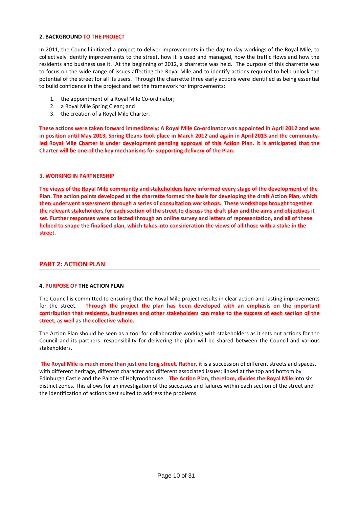#### **2. BACKGROUND TO THE PROJECT**

In 2011, the Council initiated a project to deliver improvements in the day-to-day workings of the Royal Mile; to collectively identify improvements to the street, how it is used and managed, how the traffic flows and how the residents and business use it. At the beginning of 2012, a charrette was held. The purpose of this charrette was to focus on the wide range of issues affecting the Royal Mile and to identify actions required to help unlock the potential of the street for all its users. Through the charrette three early actions were identified as being essential to build confidence in the project and set the framework for improvements:

- 1. the appointment of a Royal Mile Co-ordinator;
- 2. a Royal Mile Spring Clean; and
- 3. the creation of a Royal Mile Charter.

These actions were taken forward immediately: A Royal Mile Co-ordinator was appointed in April 2012 and was in position until May 2013, Spring Cleans took place in March 2012 and again in April 2013 and the communityled Royal Mile Charter is under development pending approval of this Action Plan. It is anticipated that the **Charter will be one of the key mechanisms for supporting delivery of the Plan.** 

#### **3. WORKING IN PARTNERSHIP**

The views of the Royal Mile community and stakeholders have informed every stage of the development of the Plan. The action points developed at the charrette formed the basis for developing the draft Action Plan, which **then underwent assessment through a series of consultation workshops. These workshops brought together** the relevant stakeholders for each section of the street to discuss the draft plan and the aims and objectives it set. Further responses were collected through an online survey and letters of representation, and all of these helped to shape the finalised plan, which takes into consideration the views of all those with a stake in the **street.**

#### **PART 2: ACTION PLAN**

#### **4. PURPOSE OF THE ACTION PLAN**

The Council is committed to ensuring that the Royal Mile project results in clear action and lasting improvements for the street. **Through the project the plan has been developed with an emphasis on the important** contribution that residents, businesses and other stakeholders can make to the success of each section of the **street, as well as the collective whole.**

The Action Plan should be seen as a tool for collaborative working with stakeholders as it sets out actions for the Council and its partners: responsibility for delivering the plan will be shared between the Council and various stakeholders.

**The Royal Mile is much more than just one long street. Rather, it** is a succession of different streets and spaces, with different heritage, different character and different associated issues; linked at the top and bottom by Edinburgh Castle and the Palace of Holyroodhouse. **The Action Plan, therefore, divides the Royal Mile** into six distinct zones. This allows for an investigation of the successes and failures within each section of the street and the identification of actions best suited to address the problems.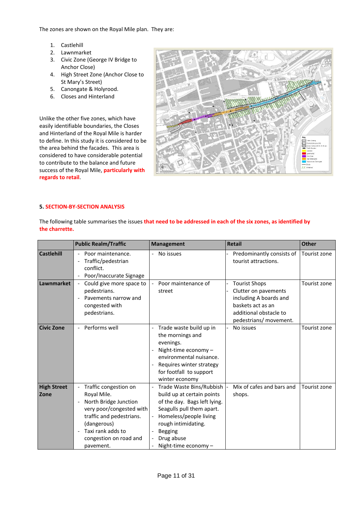The zones are shown on the Royal Mile plan. They are:

- 1. Castlehill
- 2. Lawnmarket
- 3. Civic Zone (George IV Bridge to Anchor Close)
- 4. High Street Zone (Anchor Close to St Mary's Street)
- 5. Canongate & Holyrood.
- 6. Closes and Hinterland

Unlike the other five zones, which have easily identifiable boundaries, the Closes and Hinterland of the Royal Mile is harder to define. In this study it is considered to be the area behind the facades. This area is considered to have considerable potential to contribute to the balance and future success of the Royal Mile, **particularly with regards to retail**.



#### **5. SECTION‐BY‐SECTION ANALYSIS**

The following table summarises the issues **that need to be addressed in each of the six zones, as identified by the charrette.** 

|                            | <b>Public Realm/Traffic</b>                                                                                                                                                                                                                              | <b>Management</b>                                                                                                                                                                                                            | <b>Retail</b>                                                                                                                                   | <b>Other</b> |
|----------------------------|----------------------------------------------------------------------------------------------------------------------------------------------------------------------------------------------------------------------------------------------------------|------------------------------------------------------------------------------------------------------------------------------------------------------------------------------------------------------------------------------|-------------------------------------------------------------------------------------------------------------------------------------------------|--------------|
| <b>Castlehill</b>          | Poor maintenance.<br>Traffic/pedestrian<br>conflict.<br>Poor/Inaccurate Signage                                                                                                                                                                          | No issues                                                                                                                                                                                                                    | Predominantly consists of<br>tourist attractions.                                                                                               | Tourist zone |
| <b>Lawnmarket</b>          | Could give more space to<br>$\overline{\phantom{a}}$<br>pedestrians.<br>Pavements narrow and<br>$\overline{\phantom{a}}$<br>congested with<br>pedestrians.                                                                                               | Poor maintenance of<br>street                                                                                                                                                                                                | <b>Tourist Shops</b><br>Clutter on pavements<br>including A boards and<br>baskets act as an<br>additional obstacle to<br>pedestrians/ movement. | Tourist zone |
| <b>Civic Zone</b>          | Performs well                                                                                                                                                                                                                                            | Trade waste build up in<br>the mornings and<br>evenings.<br>Night-time economy $-$<br>environmental nuisance.<br>Requires winter strategy<br>for footfall to support<br>winter economy                                       | No issues                                                                                                                                       | Tourist zone |
| <b>High Street</b><br>Zone | Traffic congestion on<br>Royal Mile.<br>North Bridge Junction<br>$\overline{\phantom{a}}$<br>very poor/congested with<br>traffic and pedestrians.<br>(dangerous)<br>Taxi rank adds to<br>$\overline{\phantom{a}}$<br>congestion on road and<br>pavement. | Trade Waste Bins/Rubbish<br>build up at certain points<br>of the day. Bags left lying.<br>Seagulls pull them apart.<br>Homeless/people living<br>rough intimidating.<br><b>Begging</b><br>Drug abuse<br>Night-time economy - | Mix of cafes and bars and<br>shops.                                                                                                             | Tourist zone |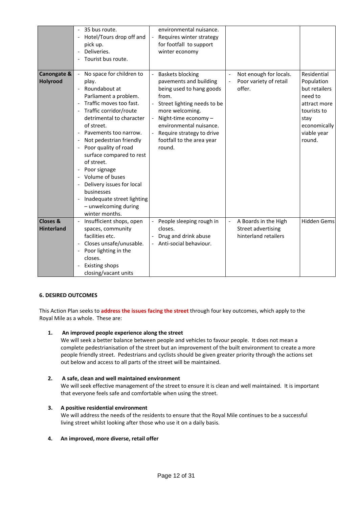|                                          |                                                                                                                                                                          | 35 bus route.<br>Hotel/Tours drop off and<br>pick up.<br>Deliveries.<br>Tourist bus route.                                                                                                                                                                                                                                                                                                                                                             |                          | environmental nuisance.<br>Requires winter strategy<br>for footfall to support<br>winter economy                                                                                                                                                           |                |                                                                           |                                                                                                                                       |
|------------------------------------------|--------------------------------------------------------------------------------------------------------------------------------------------------------------------------|--------------------------------------------------------------------------------------------------------------------------------------------------------------------------------------------------------------------------------------------------------------------------------------------------------------------------------------------------------------------------------------------------------------------------------------------------------|--------------------------|------------------------------------------------------------------------------------------------------------------------------------------------------------------------------------------------------------------------------------------------------------|----------------|---------------------------------------------------------------------------|---------------------------------------------------------------------------------------------------------------------------------------|
| Canongate &<br><b>Holyrood</b>           | $\overline{\phantom{a}}$<br>$\qquad \qquad \blacksquare$<br>$\overline{\phantom{a}}$<br>$\overline{\phantom{a}}$<br>$\overline{\phantom{a}}$<br>$\overline{\phantom{a}}$ | No space for children to<br>play.<br>Roundabout at<br>Parliament a problem.<br>Traffic moves too fast.<br>Traffic corridor/route<br>detrimental to character<br>of street.<br>Pavements too narrow.<br>Not pedestrian friendly<br>Poor quality of road<br>surface compared to rest<br>of street.<br>Poor signage<br>Volume of buses<br>Delivery issues for local<br>businesses<br>Inadequate street lighting<br>- unwelcoming during<br>winter months. | $\overline{\phantom{a}}$ | - Baskets blocking<br>pavements and building<br>being used to hang goods<br>from.<br>Street lighting needs to be<br>more welcoming.<br>Night-time economy -<br>environmental nuisance.<br>Require strategy to drive<br>footfall to the area year<br>round. |                | Not enough for locals.<br>Poor variety of retail<br>offer.                | Residential<br>Population<br>but retailers<br>need to<br>attract more<br>tourists to<br>stay<br>economically<br>viable year<br>round. |
| <b>Closes &amp;</b><br><b>Hinterland</b> |                                                                                                                                                                          | Insufficient shops, open<br>spaces, community<br>facilities etc.<br>Closes unsafe/unusable.<br>Poor lighting in the<br>closes.<br><b>Existing shops</b><br>closing/vacant units                                                                                                                                                                                                                                                                        |                          | People sleeping rough in<br>closes.<br>Drug and drink abuse<br>- Anti-social behaviour.                                                                                                                                                                    | $\blacksquare$ | A Boards in the High<br><b>Street advertising</b><br>hinterland retailers | <b>Hidden Gems</b>                                                                                                                    |

#### **6. DESIRED OUTCOMES**

This Action Plan seeks to **address the issues facing the street** through four key outcomes, which apply to the Royal Mile as a whole. These are:

#### **1. An improved people experience along the street**

We will seek a better balance between people and vehicles to favour people. It does not mean a complete pedestrianisation of the street but an improvement of the built environment to create a more people friendly street. Pedestrians and cyclists should be given greater priority through the actions set out below and access to all parts of the street will be maintained.

#### **2. A safe, clean and well maintained environment**

We will seek effective management of the street to ensure it is clean and well maintained. It is important that everyone feels safe and comfortable when using the street.

#### **3. A positive residential environment**

We will address the needs of the residents to ensure that the Royal Mile continues to be a successful living street whilst looking after those who use it on a daily basis.

#### **4. An improved, more diverse, retail offer**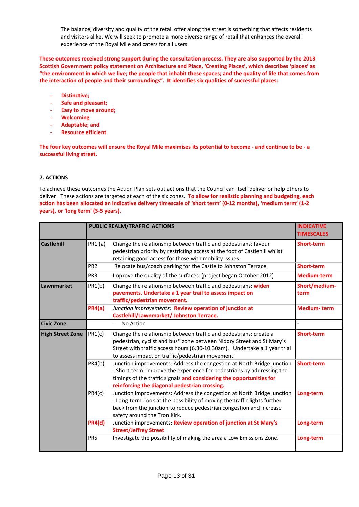The balance, diversity and quality of the retail offer along the street is something that affects residents and visitors alike. We will seek to promote a more diverse range of retail that enhances the overall experience of the Royal Mile and caters for all users.

**These outcomes received strong support during the consultation process. They are also supported by the 2013 Scottish Government policy statement on Architecture and Place, 'Creating Places', which describes 'places' as** "the environment in which we live; the people that inhabit these spaces; and the quality of life that comes from **the interaction of people and their surroundings". It identifies six qualities of successful places:**

- ‐ **Distinctive;**
- ‐ **Safe and pleasant;**
- ‐ **Easy to move around;**
- ‐ **Welcoming**
- ‐ **Adaptable; and**
- ‐ **Resource efficient**

The four key outcomes will ensure the Royal Mile maximises its potential to become - and continue to be - a **successful living street.**

#### **7. ACTIONS**

To achieve these outcomes the Action Plan sets out actions that the Council can itself deliver or help others to deliver. These actions are targeted at each of the six zones. **To allow for realistic planning and budgeting, each** action has been allocated an indicative delivery timescale of 'short term' (0-12 months), 'medium term' (1-2 **years), or 'long term' (3‐5 years).**

|                         |                 | <b>PUBLIC REALM/TRAFFIC ACTIONS</b>                                                                                                                                                                                                                                         | <b>INDICATIVE</b><br><b>TIMESCALES</b> |  |  |  |
|-------------------------|-----------------|-----------------------------------------------------------------------------------------------------------------------------------------------------------------------------------------------------------------------------------------------------------------------------|----------------------------------------|--|--|--|
| <b>Castlehill</b>       | PR1 (a)         | Change the relationship between traffic and pedestrians: favour<br>pedestrian priority by restricting access at the foot of Castlehill whilst<br>retaining good access for those with mobility issues.                                                                      | <b>Short-term</b>                      |  |  |  |
|                         | PR <sub>2</sub> | Relocate bus/coach parking for the Castle to Johnston Terrace.                                                                                                                                                                                                              | <b>Short-term</b>                      |  |  |  |
|                         | PR <sub>3</sub> | Improve the quality of the surfaces (project began October 2012)                                                                                                                                                                                                            | <b>Medium-term</b>                     |  |  |  |
| Lawnmarket              | PR1(b)          | Change the relationship between traffic and pedestrians: widen<br>pavements. Undertake a 1 year trail to assess impact on<br>traffic/pedestrian movement.                                                                                                                   | Short/medium-<br>term                  |  |  |  |
|                         | PR4(a)          | Junction improvements: Review operation of junction at<br>Castlehill/Lawnmarket/ Johnston Terrace.                                                                                                                                                                          | <b>Medium-term</b>                     |  |  |  |
| <b>Civic Zone</b>       |                 | No Action                                                                                                                                                                                                                                                                   |                                        |  |  |  |
| <b>High Street Zone</b> | PR1(c)          | Change the relationship between traffic and pedestrians: create a<br>pedestrian, cyclist and bus* zone between Niddry Street and St Mary's<br>Street with traffic access hours (6.30-10.30am). Undertake a 1 year trial<br>to assess impact on traffic/pedestrian movement. | <b>Short-term</b>                      |  |  |  |
|                         | PR4(b)          | Junction improvements: Address the congestion at North Bridge junction<br>- Short-term: improve the experience for pedestrians by addressing the<br>timings of the traffic signals and considering the opportunities for<br>reinforcing the diagonal pedestrian crossing.   | <b>Short-term</b>                      |  |  |  |
|                         | PR4(c)          | Junction improvements: Address the congestion at North Bridge junction<br>- Long-term: look at the possibility of moving the traffic lights further<br>back from the junction to reduce pedestrian congestion and increase<br>safety around the Tron Kirk.                  |                                        |  |  |  |
|                         | <b>PR4(d)</b>   | Junction improvements: Review operation of junction at St Mary's<br><b>Street/Jeffrey Street</b>                                                                                                                                                                            | Long-term                              |  |  |  |
|                         | PR <sub>5</sub> | Investigate the possibility of making the area a Low Emissions Zone.                                                                                                                                                                                                        | Long-term                              |  |  |  |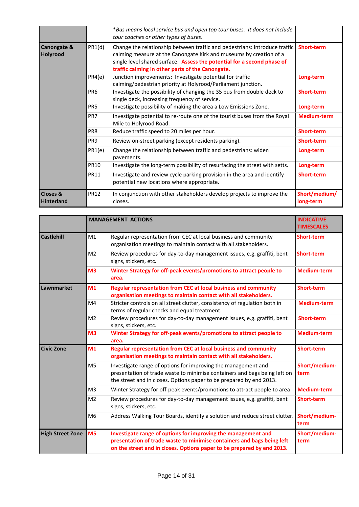|                                          |                 | *Bus means local service bus and open top tour buses. It does not include<br>tour coaches or other types of buses.                                                                                                                                                                                   |                            |  |  |  |  |
|------------------------------------------|-----------------|------------------------------------------------------------------------------------------------------------------------------------------------------------------------------------------------------------------------------------------------------------------------------------------------------|----------------------------|--|--|--|--|
| Canongate &<br>Holyrood                  | PR1(d)          | Change the relationship between traffic and pedestrians: introduce traffic<br><b>Short-term</b><br>calming measure at the Canongate Kirk and museums by creation of a<br>single level shared surface. Assess the potential for a second phase of<br>traffic calming in other parts of the Canongate. |                            |  |  |  |  |
|                                          | PR4(e)          | Long-term                                                                                                                                                                                                                                                                                            |                            |  |  |  |  |
|                                          | PR <sub>6</sub> | Investigate the possibility of changing the 35 bus from double deck to<br>single deck, increasing frequency of service.                                                                                                                                                                              | <b>Short-term</b>          |  |  |  |  |
|                                          | PR <sub>5</sub> | Investigate possibility of making the area a Low Emissions Zone.                                                                                                                                                                                                                                     | Long-term                  |  |  |  |  |
|                                          | PR7             | Investigate potential to re-route one of the tourist buses from the Royal<br>Mile to Holyrood Road.                                                                                                                                                                                                  | <b>Medium-term</b>         |  |  |  |  |
|                                          | PR8             | Reduce traffic speed to 20 miles per hour.                                                                                                                                                                                                                                                           | <b>Short-term</b>          |  |  |  |  |
|                                          | PR <sub>9</sub> | Review on-street parking (except residents parking).                                                                                                                                                                                                                                                 | <b>Short-term</b>          |  |  |  |  |
|                                          | PR1(e)          | Change the relationship between traffic and pedestrians: widen<br>pavements.                                                                                                                                                                                                                         | Long-term                  |  |  |  |  |
|                                          | <b>PR10</b>     | Investigate the long-term possibility of resurfacing the street with setts.                                                                                                                                                                                                                          | Long-term                  |  |  |  |  |
|                                          | <b>PR11</b>     | Investigate and review cycle parking provision in the area and identify<br>potential new locations where appropriate.                                                                                                                                                                                | <b>Short-term</b>          |  |  |  |  |
| <b>Closes &amp;</b><br><b>Hinterland</b> | <b>PR12</b>     | In conjunction with other stakeholders develop projects to improve the<br>closes.                                                                                                                                                                                                                    | Short/medium/<br>long-term |  |  |  |  |

|                         |                | <b>MANAGEMENT ACTIONS</b>                                                                                                                                                                                         | <b>INDICATIVE</b><br><b>TIMESCALES</b> |
|-------------------------|----------------|-------------------------------------------------------------------------------------------------------------------------------------------------------------------------------------------------------------------|----------------------------------------|
| <b>Castlehill</b>       | M1             | Regular representation from CEC at local business and community<br>organisation meetings to maintain contact with all stakeholders.                                                                               | <b>Short-term</b>                      |
|                         | M <sub>2</sub> | Review procedures for day-to-day management issues, e.g. graffiti, bent<br>signs, stickers, etc.                                                                                                                  | <b>Short-term</b>                      |
|                         | M <sub>3</sub> | Winter Strategy for off-peak events/promotions to attract people to<br>area.                                                                                                                                      | <b>Medium-term</b>                     |
| Lawnmarket              | M1             | Regular representation from CEC at local business and community<br>organisation meetings to maintain contact with all stakeholders.                                                                               | <b>Short-term</b>                      |
|                         | M4             | Stricter controls on all street clutter, consistency of regulation both in<br>terms of regular checks and equal treatment.                                                                                        | <b>Medium-term</b>                     |
|                         | M <sub>2</sub> | <b>Short-term</b>                                                                                                                                                                                                 |                                        |
|                         | M <sub>3</sub> | Winter Strategy for off-peak events/promotions to attract people to<br>area.                                                                                                                                      | <b>Medium-term</b>                     |
| <b>Civic Zone</b>       | M1             | Regular representation from CEC at local business and community<br>organisation meetings to maintain contact with all stakeholders.                                                                               | <b>Short-term</b>                      |
|                         | M <sub>5</sub> | Investigate range of options for improving the management and<br>presentation of trade waste to minimise containers and bags being left on<br>the street and in closes. Options paper to be prepared by end 2013. | Short/medium-<br>term                  |
|                         | M <sub>3</sub> | Winter Strategy for off-peak events/promotions to attract people to area                                                                                                                                          | <b>Medium-term</b>                     |
|                         | M <sub>2</sub> | Review procedures for day-to-day management issues, e.g. graffiti, bent<br>signs, stickers, etc.                                                                                                                  | <b>Short-term</b>                      |
|                         | M <sub>6</sub> | Address Walking Tour Boards, identify a solution and reduce street clutter.                                                                                                                                       | Short/medium-<br>term                  |
| <b>High Street Zone</b> | M <sub>5</sub> | Investigate range of options for improving the management and<br>presentation of trade waste to minimise containers and bags being left<br>on the street and in closes. Options paper to be prepared by end 2013. | Short/medium-<br>term                  |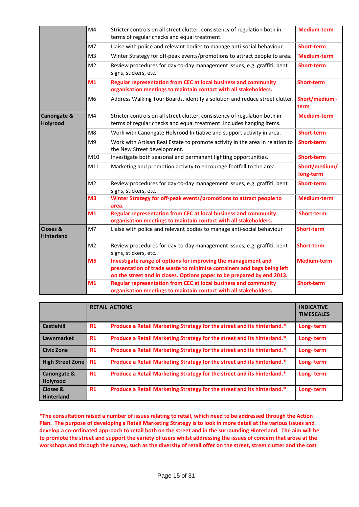|                                          | M4             | Stricter controls on all street clutter, consistency of regulation both in<br>terms of regular checks and equal treatment.                                                                                        | <b>Medium-term</b>         |
|------------------------------------------|----------------|-------------------------------------------------------------------------------------------------------------------------------------------------------------------------------------------------------------------|----------------------------|
|                                          | M7             | Liaise with police and relevant bodies to manage anti-social behaviour                                                                                                                                            | Short-term                 |
|                                          | M <sub>3</sub> | Winter Strategy for off-peak events/promotions to attract people to area.                                                                                                                                         | <b>Medium-term</b>         |
|                                          | M <sub>2</sub> | Review procedures for day-to-day management issues, e.g. graffiti, bent<br>signs, stickers, etc.                                                                                                                  | <b>Short-term</b>          |
|                                          | M <sub>1</sub> | Regular representation from CEC at local business and community<br>organisation meetings to maintain contact with all stakeholders.                                                                               | <b>Short-term</b>          |
|                                          | M <sub>6</sub> | Address Walking Tour Boards, identify a solution and reduce street clutter.                                                                                                                                       | Short/medium -<br>term     |
| Canongate &<br><b>Holyrood</b>           | M4             | Stricter controls on all street clutter, consistency of regulation both in<br>terms of regular checks and equal treatment. Includes hanging items.                                                                | <b>Medium-term</b>         |
|                                          | M8             | Work with Canongate Holyrood Initiative and support activity in area.                                                                                                                                             | <b>Short-term</b>          |
|                                          | M <sub>9</sub> | Work with Artisan Real Estate to promote activity in the area in relation to<br>the New Street development.                                                                                                       | <b>Short-term</b>          |
|                                          | M10            | Investigate both seasonal and permanent lighting opportunities.                                                                                                                                                   | <b>Short-term</b>          |
|                                          | M11            | Marketing and promotion activity to encourage footfall to the area.                                                                                                                                               | Short/medium/<br>long-term |
|                                          | M <sub>2</sub> | Review procedures for day-to-day management issues, e.g. graffiti, bent<br>signs, stickers, etc.                                                                                                                  | <b>Short-term</b>          |
|                                          | M <sub>3</sub> | Winter Strategy for off-peak events/promotions to attract people to<br>area.                                                                                                                                      | <b>Medium-term</b>         |
|                                          | M <sub>1</sub> | Regular representation from CEC at local business and community<br>organisation meetings to maintain contact with all stakeholders.                                                                               | <b>Short-term</b>          |
| <b>Closes &amp;</b><br><b>Hinterland</b> | M7             | Liaise with police and relevant bodies to manage anti-social behaviour                                                                                                                                            | <b>Short-term</b>          |
|                                          | M <sub>2</sub> | Review procedures for day-to-day management issues, e.g. graffiti, bent<br>signs, stickers, etc.                                                                                                                  | <b>Short-term</b>          |
|                                          | M <sub>5</sub> | Investigate range of options for improving the management and<br>presentation of trade waste to minimise containers and bags being left<br>on the street and in closes. Options paper to be prepared by end 2013. | <b>Medium-term</b>         |
|                                          | M <sub>1</sub> | <b>Regular representation from CEC at local business and community</b><br>organisation meetings to maintain contact with all stakeholders.                                                                        | <b>Short-term</b>          |

|                               |    | <b>RETAIL ACTIONS</b>                                                   | <b>INDICATIVE</b><br><b>TIMESCALES</b> |
|-------------------------------|----|-------------------------------------------------------------------------|----------------------------------------|
| <b>Castlehill</b>             | R1 | Produce a Retail Marketing Strategy for the street and its hinterland.* | Long-term                              |
| Lawnmarket                    | R1 | Produce a Retail Marketing Strategy for the street and its hinterland.* | Long-term                              |
| <b>Civic Zone</b>             | R1 | Produce a Retail Marketing Strategy for the street and its hinterland.* | Long-term                              |
| <b>High Street Zone</b>       | R1 | Produce a Retail Marketing Strategy for the street and its hinterland.* | Long-term                              |
| Canongate &<br>Holyrood       | R1 | Produce a Retail Marketing Strategy for the street and its hinterland.* | Long-term                              |
| Closes &<br><b>Hinterland</b> | R1 | Produce a Retail Marketing Strategy for the street and its hinterland.* | Long-term                              |

\*The consultation raised a number of issues relating to retail, which need to be addressed through the Action Plan. The purpose of developing a Retail Marketing Strategy is to look in more detail at the various issues and develop a co-ordinated approach to retail both on the street and in the surrounding Hinterland. The aim will be to promote the street and support the variety of users whilst addressing the issues of concern that arose at the workshops and through the survey, such as the diversity of retail offer on the street, street clutter and the cost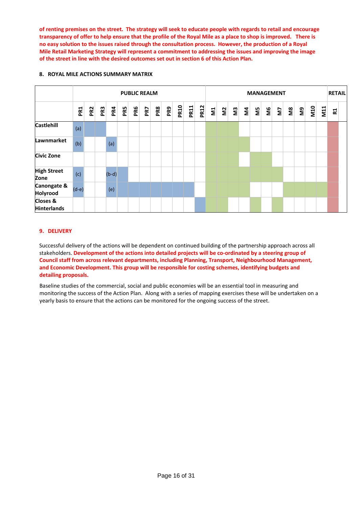of renting premises on the street. The strategy will seek to educate people with regards to retail and encourage transparency of offer to help ensure that the profile of the Royal Mile as a place to shop is improved. There is no easy solution to the issues raised through the consultation process. However, the production of a Royal **Mile Retail Marketing Strategy will represent a commitment to addressing the issues and improving the image of the street in line with the desired outcomes set out in section 6 of this Action Plan.**

#### **8. ROYAL MILE ACTIONS SUMMARY MATRIX**

|                                           |                 | <b>PUBLIC REALM</b> |     |         |     |     |     |     |     |             |             | <b>MANAGEMENT</b> |   |              |     |  |               |           | <b>RETAIL</b> |               |        |            |                 |                |  |
|-------------------------------------------|-----------------|---------------------|-----|---------|-----|-----|-----|-----|-----|-------------|-------------|-------------------|---|--------------|-----|--|---------------|-----------|---------------|---------------|--------|------------|-----------------|----------------|--|
|                                           | PR <sub>1</sub> | PR <sub>2</sub>     | PR3 | PR4     | PR5 | PR6 | PR7 | PR8 | PR9 | <b>PR10</b> | <b>PR11</b> | <b>PR12</b>       | 引 | $\mathbf{E}$ | ឌ្ធ |  | $\frac{5}{4}$ | <u>ଞା</u> |               | $\geq$ $\geq$ | ႜႜႜႍႜႍ | <b>M10</b> | $\overline{M1}$ | R <sub>1</sub> |  |
| <b>Castlehill</b>                         | (a)             |                     |     |         |     |     |     |     |     |             |             |                   |   |              |     |  |               |           |               |               |        |            |                 |                |  |
| Lawnmarket                                | (b)             |                     |     | (a)     |     |     |     |     |     |             |             |                   |   |              |     |  |               |           |               |               |        |            |                 |                |  |
| <b>Civic Zone</b>                         |                 |                     |     |         |     |     |     |     |     |             |             |                   |   |              |     |  |               |           |               |               |        |            |                 |                |  |
| <b>High Street</b><br>Zone                | (c)             |                     |     | $(b-d)$ |     |     |     |     |     |             |             |                   |   |              |     |  |               |           |               |               |        |            |                 |                |  |
| Canongate &<br>Holyrood                   | $(d-e)$         |                     |     | (e)     |     |     |     |     |     |             |             |                   |   |              |     |  |               |           |               |               |        |            |                 |                |  |
| <b>Closes &amp;</b><br><b>Hinterlands</b> |                 |                     |     |         |     |     |     |     |     |             |             |                   |   |              |     |  |               |           |               |               |        |            |                 |                |  |

#### **9. DELIVERY**

Successful delivery of the actions will be dependent on continued building of the partnership approach across all stakeholders. Development of the actions into detailed projects will be co-ordinated by a steering group of **Council staff from across relevant departments, including Planning, Transport, Neighbourhood Management, and Economic Development. This group will be responsible for costing schemes, identifying budgets and detailing proposals.**

Baseline studies of the commercial, social and public economies will be an essential tool in measuring and monitoring the success of the Action Plan. Along with a series of mapping exercises these will be undertaken on a yearly basis to ensure that the actions can be monitored for the ongoing success of the street.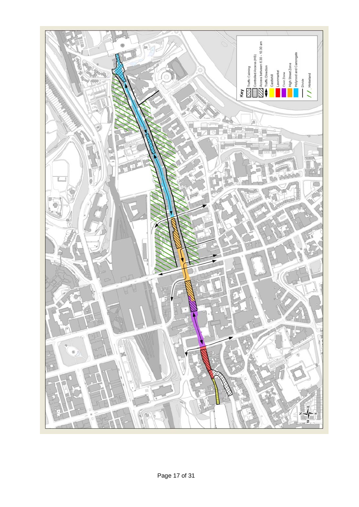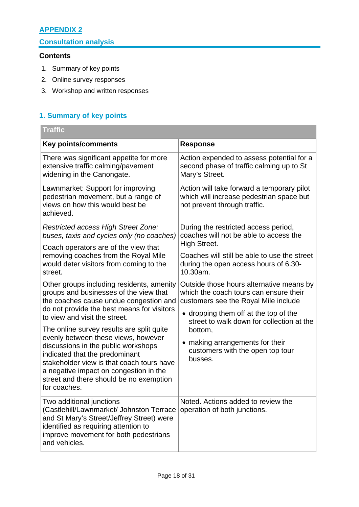# **APPENDIX 2**

# **Consultation analysis**

### **Contents**

- 1. Summary of key points
- 2. Online survey responses
- 3. Workshop and written responses

# **1. Summary of key points**

| <b>Traffic</b>                                                                                                                                                                                                                                                                                                                               |                                                                                                                                                                     |  |  |  |  |  |
|----------------------------------------------------------------------------------------------------------------------------------------------------------------------------------------------------------------------------------------------------------------------------------------------------------------------------------------------|---------------------------------------------------------------------------------------------------------------------------------------------------------------------|--|--|--|--|--|
| <b>Key points/comments</b>                                                                                                                                                                                                                                                                                                                   | <b>Response</b>                                                                                                                                                     |  |  |  |  |  |
| There was significant appetite for more<br>extensive traffic calming/pavement<br>widening in the Canongate.                                                                                                                                                                                                                                  | Action expended to assess potential for a<br>second phase of traffic calming up to St<br>Mary's Street.                                                             |  |  |  |  |  |
| Lawnmarket: Support for improving<br>pedestrian movement, but a range of<br>views on how this would best be<br>achieved.                                                                                                                                                                                                                     | Action will take forward a temporary pilot<br>which will increase pedestrian space but<br>not prevent through traffic.                                              |  |  |  |  |  |
| Restricted access High Street Zone:<br>buses, taxis and cycles only (no coaches)                                                                                                                                                                                                                                                             | During the restricted access period,<br>coaches will not be able to access the<br>High Street.                                                                      |  |  |  |  |  |
| Coach operators are of the view that<br>removing coaches from the Royal Mile<br>would deter visitors from coming to the<br>street.                                                                                                                                                                                                           | Coaches will still be able to use the street<br>during the open access hours of 6.30-<br>10.30am.                                                                   |  |  |  |  |  |
| Other groups including residents, amenity<br>groups and businesses of the view that<br>the coaches cause undue congestion and<br>do not provide the best means for visitors                                                                                                                                                                  | Outside those hours alternative means by<br>which the coach tours can ensure their<br>customers see the Royal Mile include<br>• dropping them off at the top of the |  |  |  |  |  |
| to view and visit the street.<br>The online survey results are split quite<br>evenly between these views, however<br>discussions in the public workshops<br>indicated that the predominant<br>stakeholder view is that coach tours have<br>a negative impact on congestion in the<br>street and there should be no exemption<br>for coaches. | street to walk down for collection at the<br>bottom,<br>making arrangements for their<br>customers with the open top tour<br>busses.                                |  |  |  |  |  |
| Two additional junctions<br>(Castlehill/Lawnmarket/ Johnston Terrace<br>and St Mary's Street/Jeffrey Street) were<br>identified as requiring attention to<br>improve movement for both pedestrians<br>and vehicles.                                                                                                                          | Noted. Actions added to review the<br>operation of both junctions.                                                                                                  |  |  |  |  |  |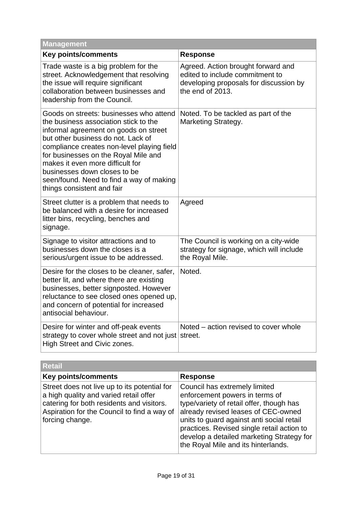| Management                                                                                                                                                                                                                                                                                                                                                                                          |                                                                                                                                     |
|-----------------------------------------------------------------------------------------------------------------------------------------------------------------------------------------------------------------------------------------------------------------------------------------------------------------------------------------------------------------------------------------------------|-------------------------------------------------------------------------------------------------------------------------------------|
| <b>Key points/comments</b>                                                                                                                                                                                                                                                                                                                                                                          | <b>Response</b>                                                                                                                     |
| Trade waste is a big problem for the<br>street. Acknowledgement that resolving<br>the issue will require significant<br>collaboration between businesses and<br>leadership from the Council.                                                                                                                                                                                                        | Agreed. Action brought forward and<br>edited to include commitment to<br>developing proposals for discussion by<br>the end of 2013. |
| Goods on streets: businesses who attend<br>the business association stick to the<br>informal agreement on goods on street<br>but other business do not. Lack of<br>compliance creates non-level playing field<br>for businesses on the Royal Mile and<br>makes it even more difficult for<br>businesses down closes to be<br>seen/found. Need to find a way of making<br>things consistent and fair | Noted. To be tackled as part of the<br><b>Marketing Strategy.</b>                                                                   |
| Street clutter is a problem that needs to<br>be balanced with a desire for increased<br>litter bins, recycling, benches and<br>signage.                                                                                                                                                                                                                                                             | Agreed                                                                                                                              |
| Signage to visitor attractions and to<br>businesses down the closes is a<br>serious/urgent issue to be addressed.                                                                                                                                                                                                                                                                                   | The Council is working on a city-wide<br>strategy for signage, which will include<br>the Royal Mile.                                |
| Desire for the closes to be cleaner, safer,<br>better lit, and where there are existing<br>businesses, better signposted. However<br>reluctance to see closed ones opened up,<br>and concern of potential for increased<br>antisocial behaviour.                                                                                                                                                    | Noted.                                                                                                                              |
| Desire for winter and off-peak events<br>strategy to cover whole street and not just<br>High Street and Civic zones.                                                                                                                                                                                                                                                                                | Noted - action revised to cover whole<br>street.                                                                                    |

| <b>Retail</b>                                                                                                                                                                                         |                                                                                                                                                                                                                                                                                                                                   |  |
|-------------------------------------------------------------------------------------------------------------------------------------------------------------------------------------------------------|-----------------------------------------------------------------------------------------------------------------------------------------------------------------------------------------------------------------------------------------------------------------------------------------------------------------------------------|--|
| <b>Key points/comments</b>                                                                                                                                                                            | <b>Response</b>                                                                                                                                                                                                                                                                                                                   |  |
| Street does not live up to its potential for<br>a high quality and varied retail offer<br>catering for both residents and visitors.<br>Aspiration for the Council to find a way of<br>forcing change. | Council has extremely limited<br>enforcement powers in terms of<br>type/variety of retail offer, though has<br>already revised leases of CEC-owned<br>units to guard against anti social retail<br>practices. Revised single retail action to<br>develop a detailed marketing Strategy for<br>the Royal Mile and its hinterlands. |  |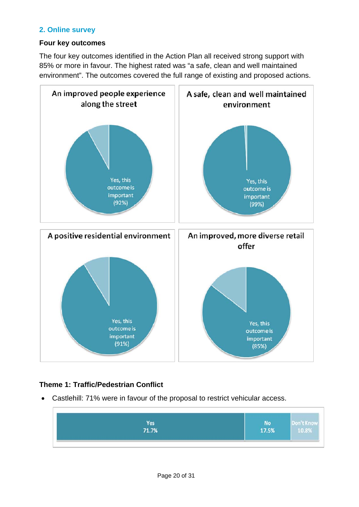# **2. Online survey**

# **Four key outcomes**

The four key outcomes identified in the Action Plan all received strong support with 85% or more in favour. The highest rated was "a safe, clean and well maintained environment". The outcomes covered the full range of existing and proposed actions.



# **Theme 1: Traffic/Pedestrian Conflict**

• Castlehill: 71% were in favour of the proposal to restrict vehicular access.

| Yes<br>71.7% | No<br>17.5% | on't Kno<br>  10.8% |
|--------------|-------------|---------------------|
|              |             |                     |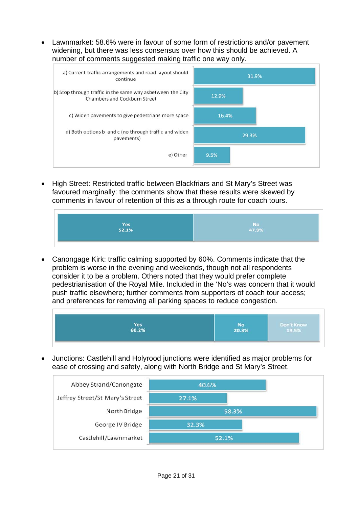• Lawnmarket: 58.6% were in favour of some form of restrictions and/or pavement widening, but there was less consensus over how this should be achieved. A number of comments suggested making traffic one way only.



• High Street: Restricted traffic between Blackfriars and St Mary's Street was favoured marginally: the comments show that these results were skewed by comments in favour of retention of this as a through route for coach tours.



• Canongage Kirk: traffic calming supported by 60%. Comments indicate that the problem is worse in the evening and weekends, though not all respondents consider it to be a problem. Others noted that they would prefer complete pedestrianisation of the Royal Mile. Included in the 'No's was concern that it would push traffic elsewhere; further comments from supporters of coach tour access; and preferences for removing all parking spaces to reduce congestion.



• Junctions: Castlehill and Holyrood junctions were identified as major problems for ease of crossing and safety, along with North Bridge and St Mary's Street.

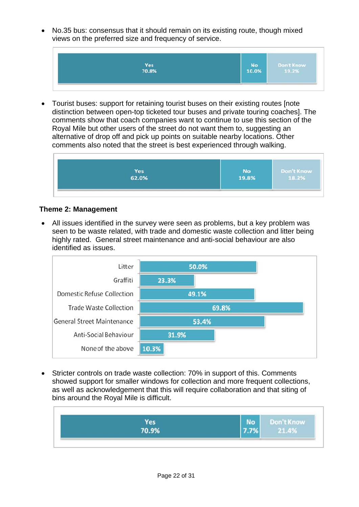• No.35 bus: consensus that it should remain on its existing route, though mixed views on the preferred size and frequency of service.



• Tourist buses: support for retaining tourist buses on their existing routes [note distinction between open-top ticketed tour buses and private touring coaches]. The comments show that coach companies want to continue to use this section of the Royal Mile but other users of the street do not want them to, suggesting an alternative of drop off and pick up points on suitable nearby locations. Other comments also noted that the street is best experienced through walking.

| Yes<br>$62.0\%$ | <b>No</b><br>19.8% | Don't Know<br>18.2% |
|-----------------|--------------------|---------------------|
|                 |                    |                     |

# **Theme 2: Management**

• All issues identified in the survey were seen as problems, but a key problem was seen to be waste related, with trade and domestic waste collection and litter being highly rated. General street maintenance and anti-social behaviour are also identified as issues.



• Stricter controls on trade waste collection: 70% in support of this. Comments showed support for smaller windows for collection and more frequent collections, as well as acknowledgement that this will require collaboration and that siting of bins around the Royal Mile is difficult.

|                     | No   | Don't Know |
|---------------------|------|------------|
| <b>Yes</b><br>70.9% | 7.7% | 21.4%      |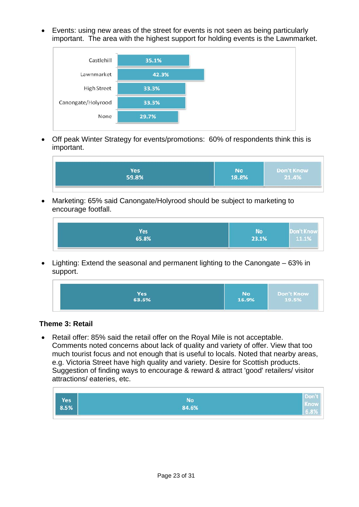• Events: using new areas of the street for events is not seen as being particularly important. The area with the highest support for holding events is the Lawnmarket.



• Off peak Winter Strategy for events/promotions: 60% of respondents think this is important.

| Yes<br>59.8% | No<br>18.8% | Don't Know<br>21.4%<br>the company of the company of |
|--------------|-------------|------------------------------------------------------|
|--------------|-------------|------------------------------------------------------|

• Marketing: 65% said Canongate/Holyrood should be subject to marketing to encourage footfall.

| Yes<br>65.8% | No<br>23.1% | on t Kno<br>11.1% |
|--------------|-------------|-------------------|
|--------------|-------------|-------------------|

• Lighting: Extend the seasonal and permanent lighting to the Canongate – 63% in support.

| Yes   | <b>No</b> | Don't Know |
|-------|-----------|------------|
| 63.6% | 16.9%     | 19.5%      |

# **Theme 3: Retail**

• Retail offer: 85% said the retail offer on the Royal Mile is not acceptable. Comments noted concerns about lack of quality and variety of offer. View that too much tourist focus and not enough that is useful to locals. Noted that nearby areas, e.g. Victoria Street have high quality and variety. Desire for Scottish products. Suggestion of finding ways to encourage & reward & attract 'good' retailers/ visitor attractions/ eateries, etc.

| Yes<br>8.5% | No<br>84.6% | w |
|-------------|-------------|---|
|-------------|-------------|---|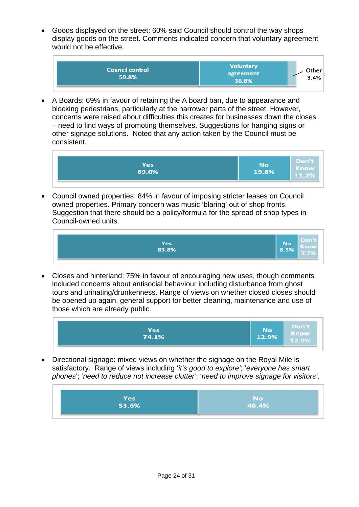• Goods displayed on the street: 60% said Council should control the way shops display goods on the street. Comments indicated concern that voluntary agreement would not be effective.



• A Boards: 69% in favour of retaining the A board ban, due to appearance and blocking pedestrians, particularly at the narrower parts of the street. However, concerns were raised about difficulties this creates for businesses down the closes – need to find ways of promoting themselves. Suggestions for hanging signs or other signage solutions. Noted that any action taken by the Council must be consistent.



• Council owned properties: 84% in favour of imposing stricter leases on Council owned properties. Primary concern was music 'blaring' out of shop fronts. Suggestion that there should be a policy/formula for the spread of shop types in Council-owned units.



• Closes and hinterland: 75% in favour of encouraging new uses, though comments included concerns about antisocial behaviour including disturbance from ghost tours and urinating/drunkenness. Range of views on whether closed closes should be opened up again, general support for better cleaning, maintenance and use of those which are already public.



• Directional signage: mixed views on whether the signage on the Royal Mile is satisfactory. Range of views including '*it's good to explore'*; '*everyone has smart phones*'; '*need to reduce not increase clutter'*; '*need to improve signage for visitors'*.

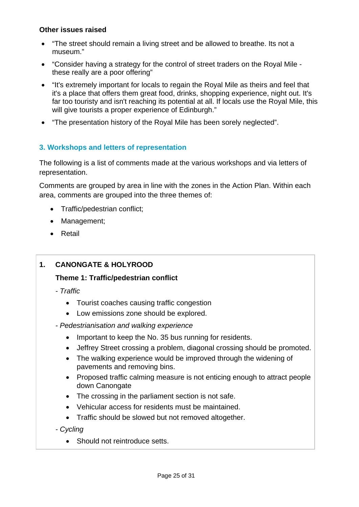# **Other issues raised**

- "The street should remain a living street and be allowed to breathe. Its not a museum."
- "Consider having a strategy for the control of street traders on the Royal Mile these really are a poor offering"
- "It's extremely important for locals to regain the Royal Mile as theirs and feel that it's a place that offers them great food, drinks, shopping experience, night out. It's far too touristy and isn't reaching its potential at all. If locals use the Royal Mile, this will give tourists a proper experience of Edinburgh."
- "The presentation history of the Royal Mile has been sorely neglected".

# **3. Workshops and letters of representation**

The following is a list of comments made at the various workshops and via letters of representation.

Comments are grouped by area in line with the zones in the Action Plan. Within each area, comments are grouped into the three themes of:

- Traffic/pedestrian conflict;
- Management;
- Retail

# **1. CANONGATE & HOLYROOD**

# **Theme 1: Traffic/pedestrian conflict**

*- Traffic* 

- Tourist coaches causing traffic congestion
- Low emissions zone should be explored.
- *Pedestrianisation and walking experience* 
	- Important to keep the No. 35 bus running for residents.
	- Jeffrey Street crossing a problem, diagonal crossing should be promoted.
	- The walking experience would be improved through the widening of pavements and removing bins.
	- Proposed traffic calming measure is not enticing enough to attract people down Canongate
	- The crossing in the parliament section is not safe.
	- Vehicular access for residents must be maintained.
	- Traffic should be slowed but not removed altogether.
- *Cycling* 
	- Should not reintroduce setts.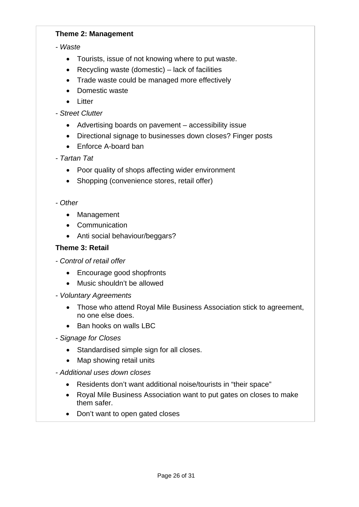# **Theme 2: Management**

# *- Waste*

- Tourists, issue of not knowing where to put waste.
- Recycling waste (domestic) lack of facilities
- Trade waste could be managed more effectively
- Domestic waste
- Litter
- *Street Clutter* 
	- Advertising boards on pavement accessibility issue
	- Directional signage to businesses down closes? Finger posts
	- Enforce A-board ban

# *- Tartan Tat*

- Poor quality of shops affecting wider environment
- Shopping (convenience stores, retail offer)

# *- Other*

- Management
- Communication
- Anti social behaviour/beggars?

# **Theme 3: Retail**

- *Control of retail offer* 
	- Encourage good shopfronts
	- Music shouldn't be allowed
- *Voluntary Agreements* 
	- Those who attend Royal Mile Business Association stick to agreement, no one else does.
	- Ban hooks on walls LBC
- *Signage for Closes* 
	- Standardised simple sign for all closes.
	- Map showing retail units
- *Additional uses down closes* 
	- Residents don't want additional noise/tourists in "their space"
	- Royal Mile Business Association want to put gates on closes to make them safer.
	- Don't want to open gated closes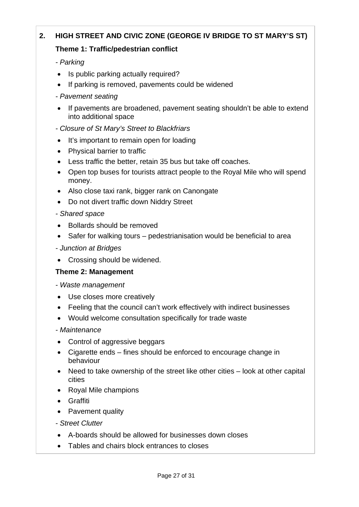# **2. HIGH STREET AND CIVIC ZONE (GEORGE IV BRIDGE TO ST MARY'S ST)**

# **Theme 1: Traffic/pedestrian conflict**

*- Parking* 

- Is public parking actually required?
- If parking is removed, pavements could be widened
- *Pavement seating*
- If pavements are broadened, pavement seating shouldn't be able to extend into additional space
- *Closure of St Mary's Street to Blackfriars*
- It's important to remain open for loading
- Physical barrier to traffic
- Less traffic the better, retain 35 bus but take off coaches.
- Open top buses for tourists attract people to the Royal Mile who will spend money.
- Also close taxi rank, bigger rank on Canongate
- Do not divert traffic down Niddry Street
- *Shared space*
- Bollards should be removed
- Safer for walking tours pedestrianisation would be beneficial to area
- *Junction at Bridges*
- Crossing should be widened.

# **Theme 2: Management**

- *Waste management*
- Use closes more creatively
- Feeling that the council can't work effectively with indirect businesses
- Would welcome consultation specifically for trade waste
- *Maintenance*
- Control of aggressive beggars
- Cigarette ends fines should be enforced to encourage change in behaviour
- Need to take ownership of the street like other cities look at other capital cities
- Royal Mile champions
- Graffiti
- Pavement quality
- *Street Clutter*
- A-boards should be allowed for businesses down closes
- Tables and chairs block entrances to closes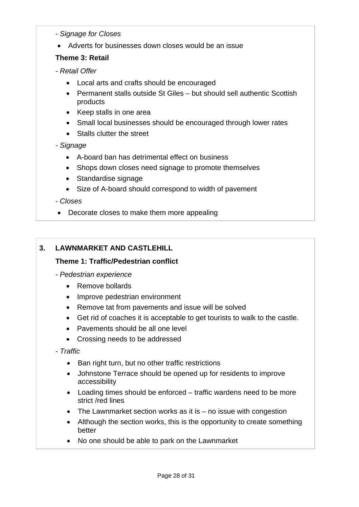- *Signage for Closes*
- Adverts for businesses down closes would be an issue

# **Theme 3: Retail**

- *Retail Offer* 
	- Local arts and crafts should be encouraged
	- Permanent stalls outside St Giles but should sell authentic Scottish products
	- Keep stalls in one area
	- Small local businesses should be encouraged through lower rates
	- Stalls clutter the street

# *- Signage*

- A-board ban has detrimental effect on business
- Shops down closes need signage to promote themselves
- Standardise signage
- Size of A-board should correspond to width of pavement

# *- Closes*

• Decorate closes to make them more appealing

# **3. LAWNMARKET AND CASTLEHILL**

# **Theme 1: Traffic/Pedestrian conflict**

- *Pedestrian experience* 
	- Remove bollards
	- Improve pedestrian environment
	- Remove tat from pavements and issue will be solved
	- Get rid of coaches it is acceptable to get tourists to walk to the castle.
	- Pavements should be all one level
	- Crossing needs to be addressed
- *Traffic* 
	- Ban right turn, but no other traffic restrictions
	- Johnstone Terrace should be opened up for residents to improve accessibility
	- Loading times should be enforced traffic wardens need to be more strict /red lines
	- The Lawnmarket section works as it is  $-$  no issue with congestion
	- Although the section works, this is the opportunity to create something better
	- No one should be able to park on the Lawnmarket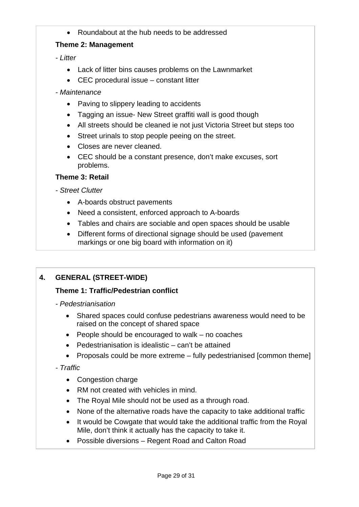• Roundabout at the hub needs to be addressed

# **Theme 2: Management**

*- Litter* 

- Lack of litter bins causes problems on the Lawnmarket
- CEC procedural issue constant litter
- *Maintenance* 
	- Paving to slippery leading to accidents
	- Tagging an issue- New Street graffiti wall is good though
	- All streets should be cleaned ie not just Victoria Street but steps too
	- Street urinals to stop people peeing on the street.
	- Closes are never cleaned.
	- CEC should be a constant presence, don't make excuses, sort problems.

# **Theme 3: Retail**

- *Street Clutter* 
	- A-boards obstruct pavements
	- Need a consistent, enforced approach to A-boards
	- Tables and chairs are sociable and open spaces should be usable
	- Different forms of directional signage should be used (pavement markings or one big board with information on it)

# **4. GENERAL (STREET-WIDE)**

# **Theme 1: Traffic/Pedestrian conflict**

- *Pedestrianisation* 
	- Shared spaces could confuse pedestrians awareness would need to be raised on the concept of shared space
	- People should be encouraged to walk no coaches
	- Pedestrianisation is idealistic can't be attained
	- Proposals could be more extreme fully pedestrianised [common theme]

# *- Traffic*

- Congestion charge
- RM not created with vehicles in mind.
- The Royal Mile should not be used as a through road.
- None of the alternative roads have the capacity to take additional traffic
- It would be Cowgate that would take the additional traffic from the Royal Mile, don't think it actually has the capacity to take it.
- Possible diversions Regent Road and Calton Road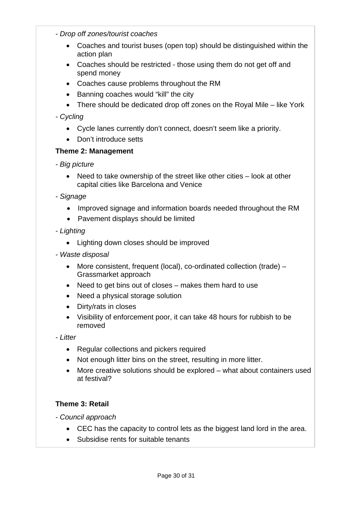- *Drop off zones/tourist coaches* 
	- Coaches and tourist buses (open top) should be distinguished within the action plan
	- Coaches should be restricted those using them do not get off and spend money
	- Coaches cause problems throughout the RM
	- Banning coaches would "kill" the city
	- There should be dedicated drop off zones on the Royal Mile like York

# *- Cycling*

- Cycle lanes currently don't connect, doesn't seem like a priority.
- Don't introduce setts

# **Theme 2: Management**

- *Big picture* 
	- Need to take ownership of the street like other cities look at other capital cities like Barcelona and Venice
- *Signage* 
	- Improved signage and information boards needed throughout the RM
	- Pavement displays should be limited
- *Lighting* 
	- Lighting down closes should be improved
- *Waste disposal* 
	- More consistent, frequent (local), co-ordinated collection (trade) Grassmarket approach
	- Need to get bins out of closes makes them hard to use
	- Need a physical storage solution
	- Dirty/rats in closes
	- Visibility of enforcement poor, it can take 48 hours for rubbish to be removed

*- Litter* 

- Regular collections and pickers required
- Not enough litter bins on the street, resulting in more litter.
- More creative solutions should be explored what about containers used at festival?

# **Theme 3: Retail**

*- Council approach* 

- CEC has the capacity to control lets as the biggest land lord in the area.
- Subsidise rents for suitable tenants